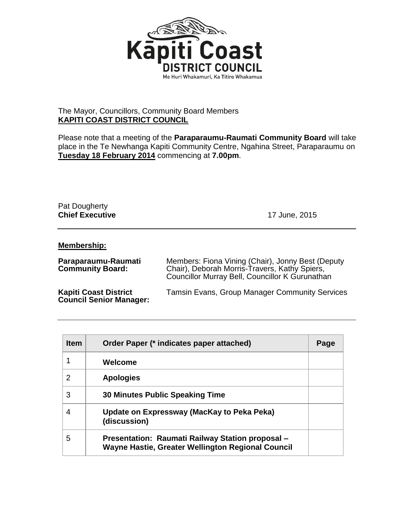

## The Mayor, Councillors, Community Board Members **KAPITI COAST DISTRICT COUNCIL**

Please note that a meeting of the **Paraparaumu-Raumati Community Board** will take place in the Te Newhanga Kapiti Community Centre, Ngahina Street, Paraparaumu on **Tuesday 18 February 2014** commencing at **7.00pm**.

## Pat Dougherty **Chief Executive** 17 June, 2015

## **Membership:**

| Paraparaumu-Raumati<br><b>Community Board:</b>                 | Members: Fiona Vining (Chair), Jonny Best (Deputy<br>Chair), Deborah Morris-Travers, Kathy Spiers,<br>Councillor Murray Bell, Councillor K Gurunathan |  |
|----------------------------------------------------------------|-------------------------------------------------------------------------------------------------------------------------------------------------------|--|
| <b>Kapiti Coast District</b><br><b>Council Senior Manager:</b> | <b>Tamsin Evans, Group Manager Community Services</b>                                                                                                 |  |

| <b>Item</b> | Order Paper (* indicates paper attached)                                                              | Page |
|-------------|-------------------------------------------------------------------------------------------------------|------|
|             | Welcome                                                                                               |      |
| 2           | <b>Apologies</b>                                                                                      |      |
| 3           | <b>30 Minutes Public Speaking Time</b>                                                                |      |
| 4           | Update on Expressway (MacKay to Peka Peka)<br>(discussion)                                            |      |
| 5           | Presentation: Raumati Railway Station proposal -<br>Wayne Hastie, Greater Wellington Regional Council |      |